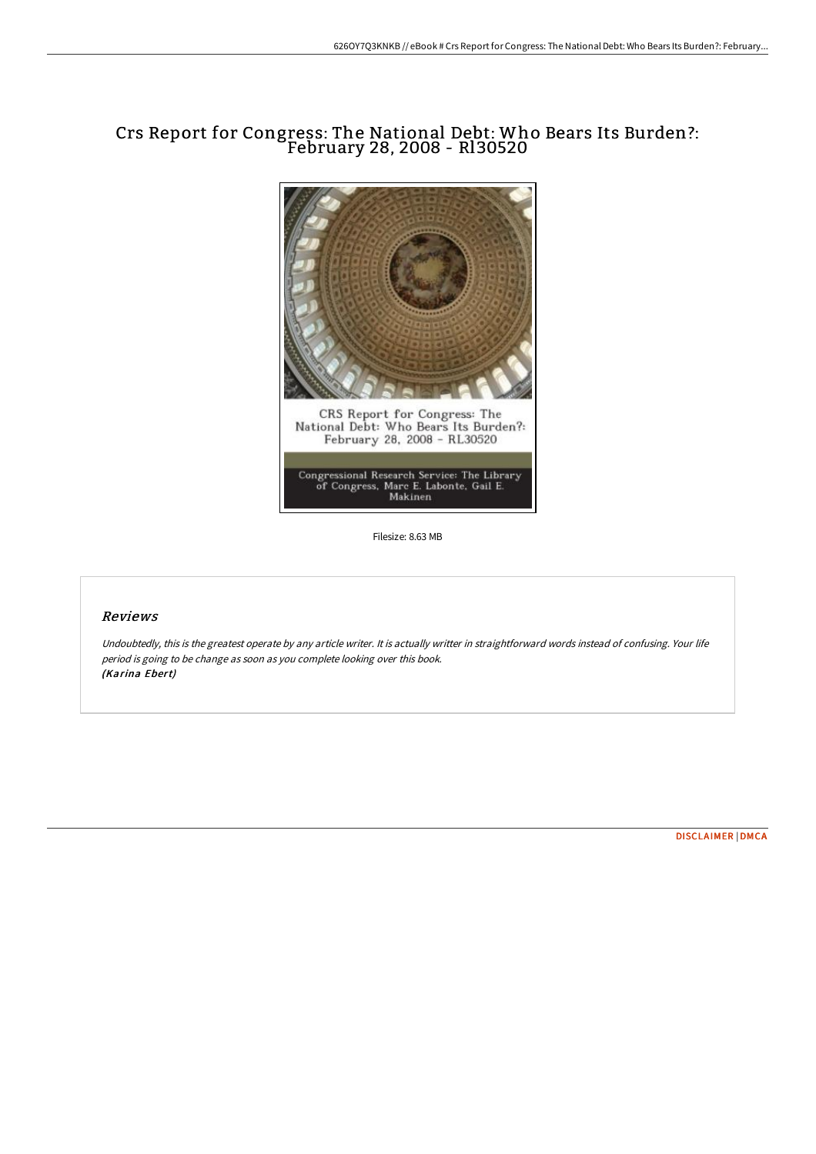# Crs Report for Congress: The National Debt: Who Bears Its Burden?: February 28, 2008 - Rl30520



Filesize: 8.63 MB

## Reviews

Undoubtedly, this is the greatest operate by any article writer. It is actually writter in straightforward words instead of confusing. Your life period is going to be change as soon as you complete looking over this book. (Karina Ebert)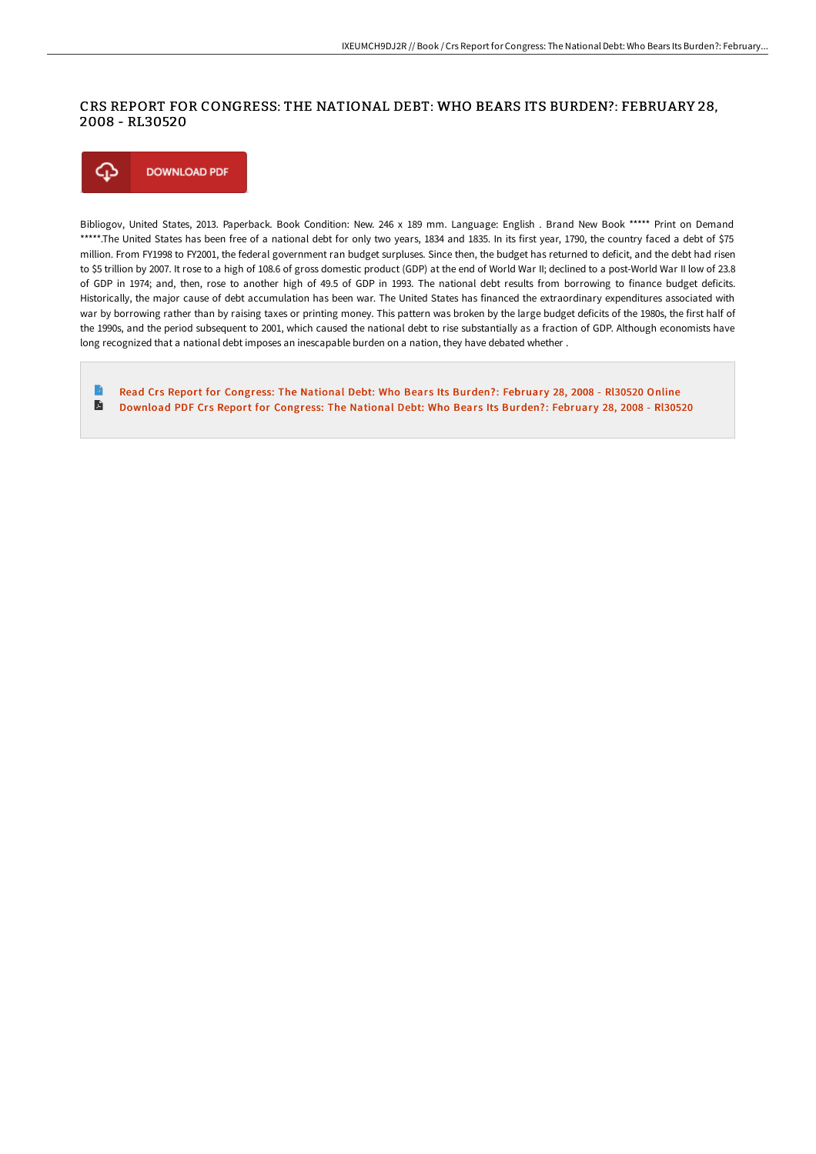### CRS REPORT FOR CONGRESS: THE NATIONAL DEBT: WHO BEARS ITS BURDEN?: FEBRUARY 28, 2008 - RL30520



Bibliogov, United States, 2013. Paperback. Book Condition: New. 246 x 189 mm. Language: English . Brand New Book \*\*\*\*\* Print on Demand \*\*\*\*\*.The United States has been free of a national debt for only two years, 1834 and 1835. In its first year, 1790, the country faced a debt of \$75 million. From FY1998 to FY2001, the federal government ran budget surpluses. Since then, the budget has returned to deficit, and the debt had risen to \$5 trillion by 2007. It rose to a high of 108.6 of gross domestic product (GDP) at the end of World War II; declined to a post-World War II low of 23.8 of GDP in 1974; and, then, rose to another high of 49.5 of GDP in 1993. The national debt results from borrowing to finance budget deficits. Historically, the major cause of debt accumulation has been war. The United States has financed the extraordinary expenditures associated with war by borrowing rather than by raising taxes or printing money. This pattern was broken by the large budget deficits of the 1980s, the first half of the 1990s, and the period subsequent to 2001, which caused the national debt to rise substantially as a fraction of GDP. Although economists have long recognized that a national debt imposes an inescapable burden on a nation, they have debated whether .

Read Crs Report for [Congress:](http://www.bookdirs.com/crs-report-for-congress-the-national-debt-who-be-3.html) The National Debt: Who Bears Its Burden?: February 28, 2008 - RI30520 Online D [Download](http://www.bookdirs.com/crs-report-for-congress-the-national-debt-who-be-3.html) PDF Crs Report for Congress: The National Debt: Who Bears Its Burden?: February 28, 2008 - Rl30520